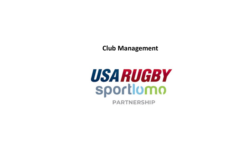**Club Management** 

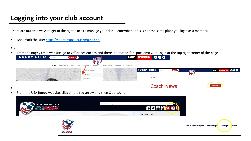# **Logging into your club account**

There are multiple ways to get to the right place to manage your club. Remember – this is not the sa

• Bookmark the site: https://sportsmanager.ie/maint.php

#### OR

• From the Rugby Ohio website, go to Officials/Coaches and there is a button for Sportlomo Club L<br>**RUGBY OHIO** CSearch at The SEARCH QUE REGISTRATION **CORNER OF THE PAGE CORNER OF THE PAGE CORNER OF THE PAGE COR** 



OR

• From the USA Rugby website, click on the red arrow and then Club Login.

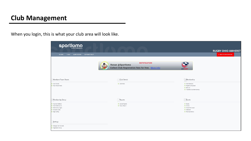### **Club Management**

When you login, this is what your club area will look like.

| <b>sportlomo</b>                                                                                                      |                                                                                                      | <b>RUGBY OHIO AMHERST</b>                                                              |
|-----------------------------------------------------------------------------------------------------------------------|------------------------------------------------------------------------------------------------------|----------------------------------------------------------------------------------------|
| # HOME<br>& MY ACCOUNT<br><b>&amp; PRIVACY POLICY</b><br>? HELP                                                       |                                                                                                      | <b>BACK TO YOUR ACCOUNT</b>                                                            |
| <b>LET</b><br>$\epsilon$ 0                                                                                            | <b>NOTIFICATION</b><br>Ronan @Sportlomo<br><b>Collect Club Registration fees for free.</b> More Info | <b>USARUGBY</b>                                                                        |
| Members/Team Sheets                                                                                                   | Club Details                                                                                         | Membership                                                                             |
| <b>O</b> Team Sheets<br><b>O</b> Team Sheet Panels                                                                    | C Edit Profile                                                                                       | O View Members<br>Payments Received<br>C Refunds<br><b>O</b> Transfers/Dual Membership |
| Membership Setup                                                                                                      | Reports                                                                                              | Events<br>e.                                                                           |
| <b>O</b> Payment Methods<br>C Email Notifications<br><b>O</b> Membership Types<br>O Discount Codes<br>C Begin selling | System Reports<br>Payout Report                                                                      | C Events<br>O Orders<br>C Events Purchased<br><b>O</b> Attended<br>O Purchase Events   |
| Settings                                                                                                              |                                                                                                      |                                                                                        |
| Manage User Accounts<br><b>O</b> Registration Setup                                                                   |                                                                                                      |                                                                                        |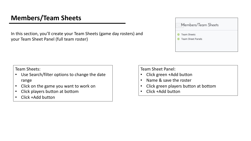# **Members/Team Sheets**

In this section, you'll create your Team Sheets (game day rosters) and your Team Sheet Panel (full team roster)

| <b>Team Sheets</b>       |
|--------------------------|
| <b>Team Sheet Panels</b> |

Team Sheets:

- Use Search/filter options to change the date range
- Click on the game you want to work on
- Click players button at bottom
- Click +Add button

Team Sheet Panel:

- Click green +Add button
- Name & save the roster
- Click green players button at bottom
- Click +Add button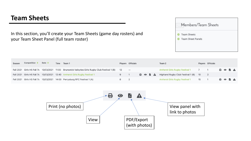#### **Team Sheets**

In this section, you'll create your Team Sheets (game day rosters) and your Team Sheet Panel (full team roster)

| <b>Team Sheets</b>       |
|--------------------------|
| <b>Team Sheet Panels</b> |

| Season | Competition $\Leftrightarrow$ | Date | Time Team 1                                                                                        | <b>Players</b> Officials |  |  | Team 2                                  |    | <b>Players</b> Officials |                                     |  |  |
|--------|-------------------------------|------|----------------------------------------------------------------------------------------------------|--------------------------|--|--|-----------------------------------------|----|--------------------------|-------------------------------------|--|--|
|        |                               |      | Fall 2021 Girls HS Fall 7s 10/03/2021 11:00 Brunswick Valkyries Girls Rugby Club Festival 1 (B) 12 | $- -$                    |  |  | Amherst Girls Rugby Festival 1 7 1      |    |                          | $A \circ B$                         |  |  |
|        |                               |      | Fall 2021 Girls HS Fall 7s 10/03/2021 12:40 Amherst Girls Rugby Festival 1                         |                          |  |  | A Mighland Rugby Club Festival 1 (B) 10 |    |                          |                                     |  |  |
|        |                               |      | Fall 2021 Girls HS Fall 7s 10/03/2021 14:00 Perrysburg RFC Festival 1 (A)                          |                          |  |  | <b>Amherst Girls Rugby Festival 1</b>   | 15 |                          | $\theta$ $\theta$ $\theta$ $\Delta$ |  |  |

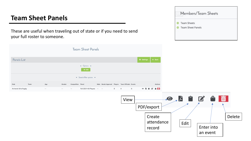### **Team Sheet Panels**

These are useful when traveling out of state or if you need to send your full roster to someone.

|                     |      |               |        |                   | <b>Team Sheet Panels</b>                   |                                                   |   |                |         |                   |                   |   |                   |
|---------------------|------|---------------|--------|-------------------|--------------------------------------------|---------------------------------------------------|---|----------------|---------|-------------------|-------------------|---|-------------------|
| Panels List         |      |               |        |                   |                                            |                                                   |   |                |         | <b>C</b> Settings |                   |   | $\leftarrow$ Back |
|                     |      |               |        |                   | $\triangle$ Options $\triangle$<br>$+$ Add |                                                   |   |                |         |                   |                   |   |                   |
|                     |      |               |        |                   | $\bullet$ Search/filter options $\bullet$  |                                                   |   |                |         |                   |                   |   |                   |
| Club                | Team | Age           | Gender | Competition Panel |                                            | Main Needs Approval Players Team Officials Events |   |                |         |                   |                   |   | Actions           |
| Amherst Girls Rugby |      | $\sim$ $\sim$ | $\sim$ | $\sim$ $\sim$     | Fall 2021 HS Players --                    | $\sim$ $-$                                        | 9 | $\overline{0}$ | $\circ$ | $\circ$ b         | $\cdot$ 0 $\cdot$ | ■ | 合面                |

| <b>Team Sheets</b>       |
|--------------------------|
| <b>Team Sheet Panels</b> |

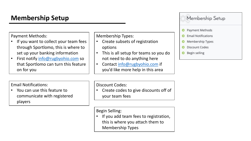# **Membership Setup**

Payment Methods:

- If you want to collect your team fees through Sportlomo, this is where to set up your banking information
- First notify info@rugbyohio.com so that Sportlomo can turn this feature on for you

Membership Types:

- Create subsets of registration options
- This is all setup for teams so you not need to do anything here
- Contact info@rugbyohio.com you'd like more help in this are

Email Notifications:

• You can use this feature to communicate with registered players

Discount Codes:

Create codes to give discounts your team fees

Begin Selling:

If you add team fees to registration this is where you attach them Membership Types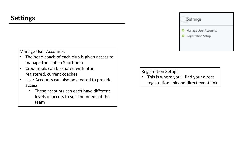Manage User Accounts:

- The head coach of each club is given access to manage the club in Sportlomo
- Credentials can be shared with other registered, current coaches
- User Accounts can also be created to provide access
	- These accounts can each have different levels of access to suit the needs of the team

Registration Setup:

• This is where you'll find your direct registration link and direct event link

Settings

o

 $\circ$ 

Manage User Accounts

**Registration Setup**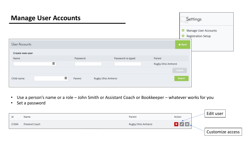| <b>Manage User Accounts</b> |              |                    |                                        | Settings                                          |
|-----------------------------|--------------|--------------------|----------------------------------------|---------------------------------------------------|
| <b>User Accounts</b>        |              |                    | $\circ$<br>$\circ$<br>$\triangle$ Back | Manage User Accounts<br><b>Registration Setup</b> |
|                             |              |                    |                                        |                                                   |
| Create new user             |              |                    |                                        |                                                   |
| Name                        | Password     | Password re-typed  | Parent                                 |                                                   |
| $\leftarrow$                |              |                    | Rugby Ohio Amherst                     |                                                   |
|                             |              |                    | Update                                 |                                                   |
| Child name:                 | H<br>Parent: | Rugby Ohio Amherst | Search                                 |                                                   |

- Use a person's name or a role John Smith or Assistant Coach or Bookkeeper whatever works for you
- Set a password

| id    | Name          | Parent             | Action | Edit user        |
|-------|---------------|--------------------|--------|------------------|
| 21694 | Pretend Coach | Rugby Ohio Amherst |        |                  |
|       |               |                    |        | Customize access |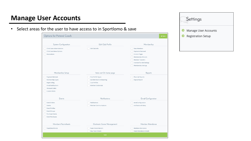# **Manage User Accounts**

• Select areas for the user to have access to in Sportlomo & save

| System Configuration       | Edit Club Profile            | Membership                      |
|----------------------------|------------------------------|---------------------------------|
| Child Users Administration | Edit Club Info               | <b>View Members</b>             |
| Child User Menu Options    |                              | Payments Recieved               |
| Associations               |                              | <b>Content Pages</b>            |
|                            |                              | Membership Refunds              |
|                            |                              | <b>Member Transfers</b>         |
|                            |                              | memberTransferSettings          |
|                            |                              | <b>Membership Settings</b>      |
| Membership Setup           | Items not On home page       | Reports                         |
| Payment Methods            | Club Profile Types           | <b>Financial Reports</b>        |
| Membership Types           | Sub Merchant On Boarding     | Payout Report                   |
| <b>Begin selling</b>       | Club Profiles                |                                 |
| <b>Email Notifications</b> | <b>Member Credentials</b>    |                                 |
| <b>Discount Codes</b>      |                              |                                 |
| <b>Custom Fields</b>       |                              |                                 |
| Events                     | <b>Notifications</b>         | <b>Email Configuration</b>      |
| <b>Event Orders</b>        | Notifications                | emailConfiguration              |
| Events                     | <b>Member Communications</b> | notificationsHistory            |
| <b>Event Profiles</b>      |                              |                                 |
| <b>Event Groups</b>        |                              |                                 |
| <b>Purchase Events</b>     |                              |                                 |
| <b>Event Purchases</b>     |                              |                                 |
| Members/Teamsheets         | Electronic Game Management   | Member Attendance               |
| TeamSheetPanels            | <b>Team Sheets Rosters</b>   | Member Attendance               |
|                            | New Team Sheets              | <b>Panel Attendance Details</b> |

Settings

Manage User Accounts

Registration Setup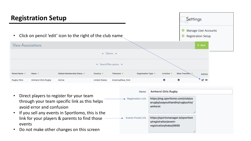

|                                                                                                                        | Name                            | <b>Amherst Girls Rugby</b>                                                            |  |
|------------------------------------------------------------------------------------------------------------------------|---------------------------------|---------------------------------------------------------------------------------------|--|
| Direct players to register for your team<br>through your team specific link as this helps<br>avoid error and confusion | $\rightarrow$ Registration Link | https://reg.sportlomo.com/club/us<br>arugby/usayouthandhs/rugbyohio/<br>amherst       |  |
| If you sell any events in Sportlomo, this is the                                                                       |                                 |                                                                                       |  |
| link for your players & parents to find those<br>events<br>Do not make other changes on this screen                    | <b>Events Portal Link</b>       | https://sportsmanager.ie/sportlom<br>o/registration/event-<br>registration/index/9698 |  |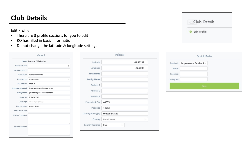#### **Club Details**

Edit Profile:

- There are 3 profile sections for you to edit
- RO has filled in basic information
- Do not change the latitude & longitude settings

|                           | Name Amherst Girls Rugby |
|---------------------------|--------------------------|
| Alternate Name            | 固                        |
| Alternate Name 2          |                          |
| Description               | <b>Ladies of Steele</b>  |
| Home Venue                | Amherst Girls            |
| Web Address               | http://                  |
| <b>Organisation email</b> | jyanosko@roadrunner.com  |
| <b>Verify Email</b>       | jyanosko@roadrunner.com  |
| Phone No                  | 2164965303               |
| Club Logo                 | Amherst_Rugby.jpg        |
| Home Colours              | green & gold             |
| Alternate Colours         |                          |
| <b>Mission Statement</b>  |                          |
|                           |                          |
|                           |                          |

| Latitude            | 41.43292             |        |
|---------------------|----------------------|--------|
| Longitude           | $-82.2203$           |        |
| <b>First Name</b>   |                      |        |
| <b>Family Name</b>  |                      |        |
| Address 1           |                      |        |
| Address 2           |                      |        |
| Address 3           |                      |        |
| Postcode & City     | 44053                |        |
| Postcode            | 44053                |        |
| Country (free type) | <b>United States</b> |        |
| Country             | <b>United States</b> | $\sim$ |
| Country Province    | Ohio<br>U            |        |



| Facebook  | https://www.facebook.c |
|-----------|------------------------|
| Twitter   |                        |
| Snapchat  |                        |
| Instagram |                        |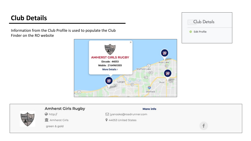# **Club Details**

Information from the Club Profile is used to populate the Club Finder on the RO website





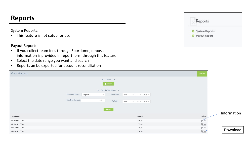#### **Reports**

System Reports:

• This feature is not setup for use

Payout Report:

- If you collect team fees through Sportlomo, deposit information is provided in report form through this feature
- Select the date range you want and search
- Reports an be exported for account reconciliation

| Reports        |  |
|----------------|--|
| System Reports |  |
| Payout Report  |  |

| <b>View Payouts</b>                                                                                                                                                                                                         | $\leftarrow$ Back                    |             |
|-----------------------------------------------------------------------------------------------------------------------------------------------------------------------------------------------------------------------------|--------------------------------------|-------------|
| $\triangle$ Options $\triangle$<br>$\blacksquare$ Export                                                                                                                                                                    |                                      |             |
| $\bullet$ Search/filter options $\bullet$<br>Gov Body Paym Stripe USA<br>From Date<br>$\vee$ 1 $\vee$ 2021 $\vee$<br>April<br>$\vee$<br>Max Num Payouts<br>15<br>To Date<br>$\vee$ 15 $\vee$ 2021 $\vee$<br>April<br>Search |                                      | Information |
| <b>Payout Date</b><br>Amount                                                                                                                                                                                                | Actions                              |             |
| 210.00<br>04/15/2021 00:00                                                                                                                                                                                                  | i4                                   |             |
| 75.00<br>04/12/2021 00:00                                                                                                                                                                                                   | $i \, \Delta$                        |             |
| 75.00<br>04/07/2021 00:00<br>150.00<br>04/02/2021 00:00                                                                                                                                                                     | $i \, \, \underline{\pm}$<br>$i \pm$ | Download    |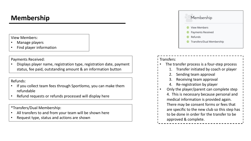### **Membership**

View Members:

- Manage players
- Find player information

Payments Received:

• Displays player name, registration type, registration date, payment status, fee paid, outstanding amount & an information button

Refunds:

- If you collect team fees through Sportlomo, you can make them refundable
- Refund requests or refunds processed will display here

\*Transfers/Dual Membership:

- All transfers to and from your team will be shown here
- Request type, status and actions are shown



#### Transfers: The transfer process is a four-step process 1. Transfer initiated by coach or player 2. Sending team approval Receiving team approval

- 4. Re-registration by player
- Only the player/parent can complete step
- 4. This is necessary because personal and medical information is provided again. There may be consent forms or fees that are specific to the new club so this step has
- to be done in order for the transfer to be approved & complete.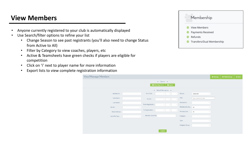## **View Members**

- Anyone currently registered to your club is automatically displayed
- Use Search/filter options to refine your list
	- Change Season to see past registrants (you'll also need to change Status from Active to All)
	- Filter by Category to view coaches, players, etc
	- Active & Teamsheets have green checks if players are eligible for competition
	- Click on 'i' next to player name for more information
	- Export lists to view complete registration information

| View/Manage Members |                                                            |              |                    |                           | <b><math>\otimes</math></b> Settings | <b>*</b> Field Settings | $\leftarrow$ Back |
|---------------------|------------------------------------------------------------|--------------|--------------------|---------------------------|--------------------------------------|-------------------------|-------------------|
|                     | $\triangle$ Options $\triangle$<br>View Payments<br>Export |              |                    |                           |                                      |                         |                   |
|                     | - Search/filter options -                                  |              |                    |                           |                                      |                         |                   |
| Member ID           | From Dob<br>$\checkmark$<br>$\sim$                         | $\searrow$   | Season             | 2020-2021                 | $\checkmark$                         |                         |                   |
| First Name          | To Dob<br>$\vee$<br>$\vee$                                 | $\sim$       | Club               | Type to Search for a club | $\checkmark$                         |                         |                   |
| Last Name           | From Registratio                                           |              | Association        |                           | $\sim$                               |                         |                   |
| Gender              | $\vee$<br>$\sim$<br>$\checkmark$                           | $\searrow$   | Membership Sta All |                           | $\checkmark$                         |                         |                   |
| Email Address       | To Registration<br>$\vee$<br>$\vee$                        | $\checkmark$ | Primary/Dual       | All                       | $\checkmark$                         |                         |                   |
| Identifier Type     | Member Identifier<br>$\checkmark$                          |              | Category           |                           | $\checkmark$                         |                         |                   |
|                     |                                                            |              | Type               |                           | $\vee$                               |                         |                   |
|                     |                                                            |              | Category Group     |                           | $\checkmark$                         |                         |                   |
|                     | Search                                                     |              |                    |                           |                                      |                         |                   |

Membership O View Members Payments Received C Refunds **O** Transfers/Dual Membership